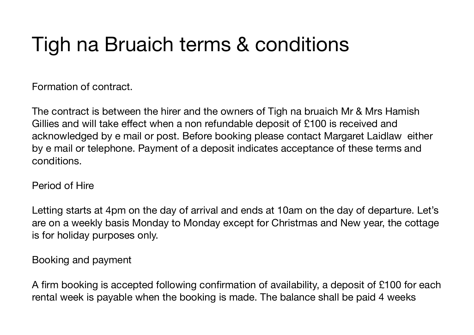# Tigh na Bruaich terms & conditions

Formation of contract.

The contract is between the hirer and the owners of Tigh na bruaich Mr & Mrs Hamish Gillies and will take effect when a non refundable deposit of £100 is received and acknowledged by e mail or post. Before booking please contact Margaret Laidlaw either by e mail or telephone. Payment of a deposit indicates acceptance of these terms and conditions.

## Period of Hire

Letting starts at 4pm on the day of arrival and ends at 10am on the day of departure. Let's are on a weekly basis Monday to Monday except for Christmas and New year, the cottage is for holiday purposes only.

## Booking and payment

A firm booking is accepted following confirmation of availability, a deposit of £100 for each rental week is payable when the booking is made. The balance shall be paid 4 weeks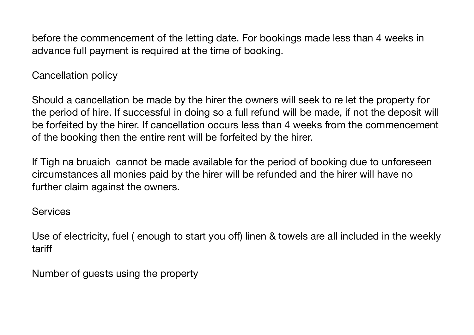before the commencement of the letting date. For bookings made less than 4 weeks in advance full payment is required at the time of booking.

Cancellation policy

Should a cancellation be made by the hirer the owners will seek to re let the property for the period of hire. If successful in doing so a full refund will be made, if not the deposit will be forfeited by the hirer. If cancellation occurs less than 4 weeks from the commencement of the booking then the entire rent will be forfeited by the hirer.

If Tigh na bruaich cannot be made available for the period of booking due to unforeseen circumstances all monies paid by the hirer will be refunded and the hirer will have no further claim against the owners.

**Services** 

Use of electricity, fuel ( enough to start you off) linen & towels are all included in the weekly tariff

Number of guests using the property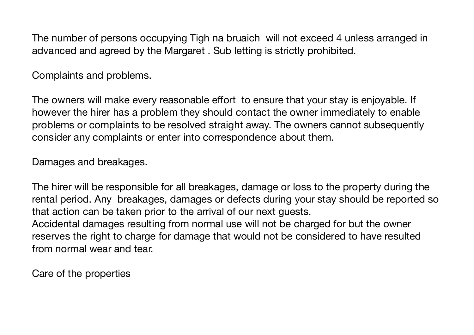The number of persons occupying Tigh na bruaich will not exceed 4 unless arranged in advanced and agreed by the Margaret . Sub letting is strictly prohibited.

Complaints and problems.

The owners will make every reasonable effort to ensure that your stay is enjoyable. If however the hirer has a problem they should contact the owner immediately to enable problems or complaints to be resolved straight away. The owners cannot subsequently consider any complaints or enter into correspondence about them.

Damages and breakages.

The hirer will be responsible for all breakages, damage or loss to the property during the rental period. Any breakages, damages or defects during your stay should be reported so that action can be taken prior to the arrival of our next guests. Accidental damages resulting from normal use will not be charged for but the owner reserves the right to charge for damage that would not be considered to have resulted

from normal wear and tear.

Care of the properties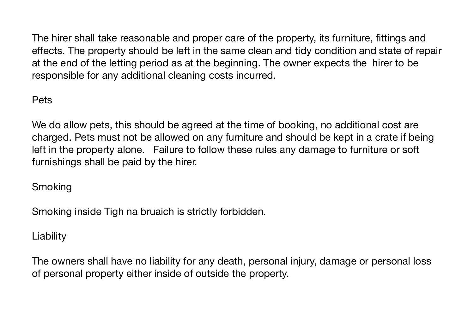The hirer shall take reasonable and proper care of the property, its furniture, fittings and effects. The property should be left in the same clean and tidy condition and state of repair at the end of the letting period as at the beginning. The owner expects the hirer to be responsible for any additional cleaning costs incurred.

#### Pets

We do allow pets, this should be agreed at the time of booking, no additional cost are charged. Pets must not be allowed on any furniture and should be kept in a crate if being left in the property alone. Failure to follow these rules any damage to furniture or soft furnishings shall be paid by the hirer.

# **Smoking**

Smoking inside Tigh na bruaich is strictly forbidden.

# **Liability**

The owners shall have no liability for any death, personal injury, damage or personal loss of personal property either inside of outside the property.